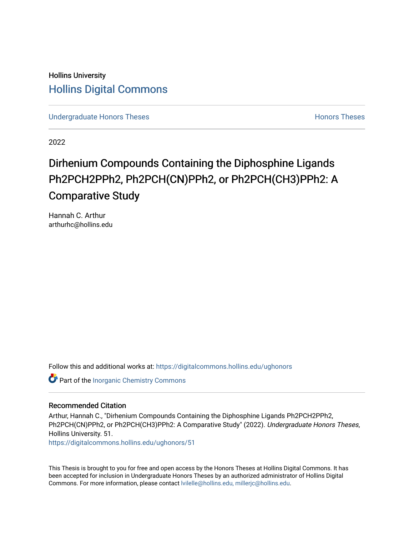Hollins University [Hollins Digital Commons](https://digitalcommons.hollins.edu/) 

[Undergraduate Honors Theses](https://digitalcommons.hollins.edu/ughonors) **Honors Theses Honors Theses Honors Theses** 

2022

# Dirhenium Compounds Containing the Diphosphine Ligands Ph2PCH2PPh2, Ph2PCH(CN)PPh2, or Ph2PCH(CH3)PPh2: A Comparative Study

Hannah C. Arthur arthurhc@hollins.edu

Follow this and additional works at: [https://digitalcommons.hollins.edu/ughonors](https://digitalcommons.hollins.edu/ughonors?utm_source=digitalcommons.hollins.edu%2Fughonors%2F51&utm_medium=PDF&utm_campaign=PDFCoverPages)

Part of the [Inorganic Chemistry Commons](https://network.bepress.com/hgg/discipline/137?utm_source=digitalcommons.hollins.edu%2Fughonors%2F51&utm_medium=PDF&utm_campaign=PDFCoverPages) 

# Recommended Citation

Arthur, Hannah C., "Dirhenium Compounds Containing the Diphosphine Ligands Ph2PCH2PPh2, Ph2PCH(CN)PPh2, or Ph2PCH(CH3)PPh2: A Comparative Study" (2022). Undergraduate Honors Theses, Hollins University. 51.

[https://digitalcommons.hollins.edu/ughonors/51](https://digitalcommons.hollins.edu/ughonors/51?utm_source=digitalcommons.hollins.edu%2Fughonors%2F51&utm_medium=PDF&utm_campaign=PDFCoverPages) 

This Thesis is brought to you for free and open access by the Honors Theses at Hollins Digital Commons. It has been accepted for inclusion in Undergraduate Honors Theses by an authorized administrator of Hollins Digital Commons. For more information, please contact [lvilelle@hollins.edu, millerjc@hollins.edu.](mailto:lvilelle@hollins.edu,%20millerjc@hollins.edu)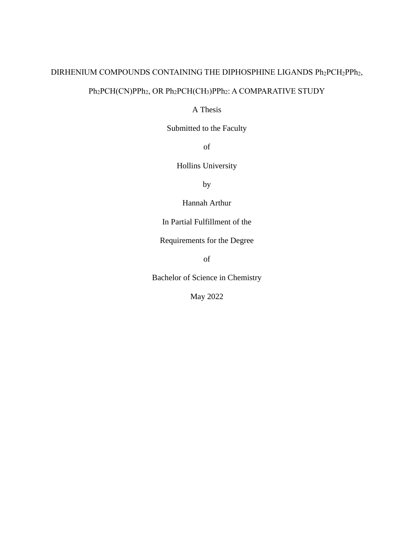# DIRHENIUM COMPOUNDS CONTAINING THE DIPHOSPHINE LIGANDS Ph<sub>2</sub>PCH<sub>2</sub>PPh<sub>2</sub>,

# Ph<sub>2</sub>PCH(CN)PPh<sub>2</sub>, OR Ph<sub>2</sub>PCH(CH<sub>3</sub>)PPh<sub>2</sub>: A COMPARATIVE STUDY

# A Thesis

Submitted to the Faculty

of

Hollins University

by

Hannah Arthur

In Partial Fulfillment of the

Requirements for the Degree

of

Bachelor of Science in Chemistry

May 2022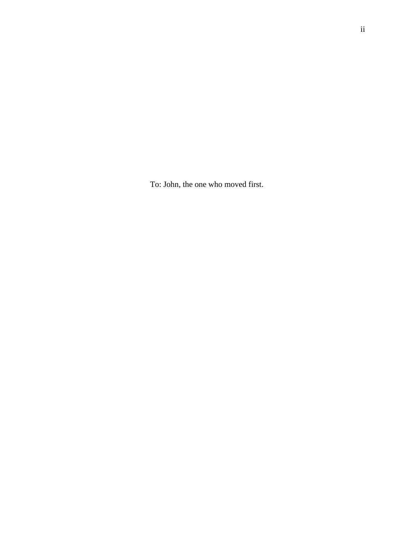To: John, the one who moved first.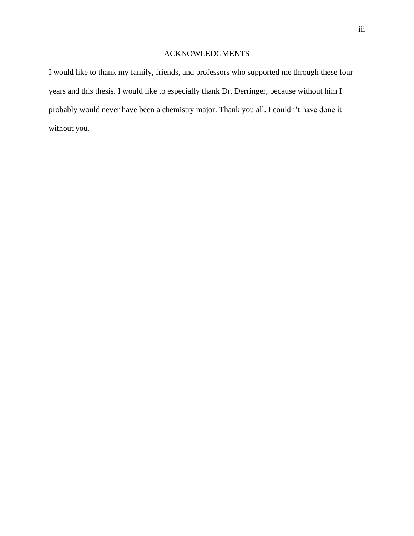# ACKNOWLEDGMENTS

I would like to thank my family, friends, and professors who supported me through these four years and this thesis. I would like to especially thank Dr. Derringer, because without him I probably would never have been a chemistry major. Thank you all. I couldn't have done it without you.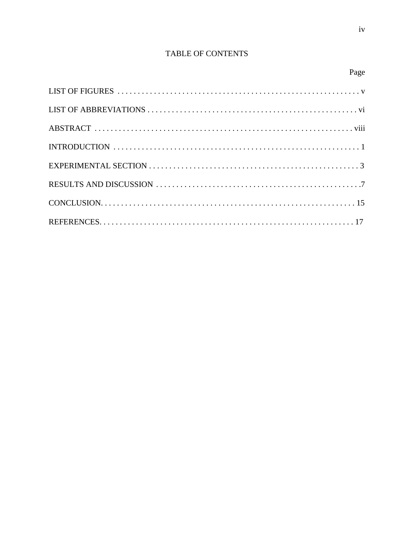# TABLE OF CONTENTS

Page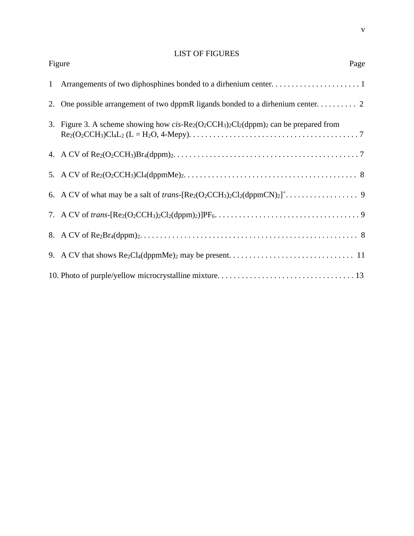# LIST OF FIGURES

| Figure<br>Page                                                                    |
|-----------------------------------------------------------------------------------|
|                                                                                   |
|                                                                                   |
| 3. Figure 3. A scheme showing how cis-Re2(O2CCH3)2Cl2(dppm)2 can be prepared from |
|                                                                                   |
|                                                                                   |
|                                                                                   |
|                                                                                   |
|                                                                                   |
|                                                                                   |
|                                                                                   |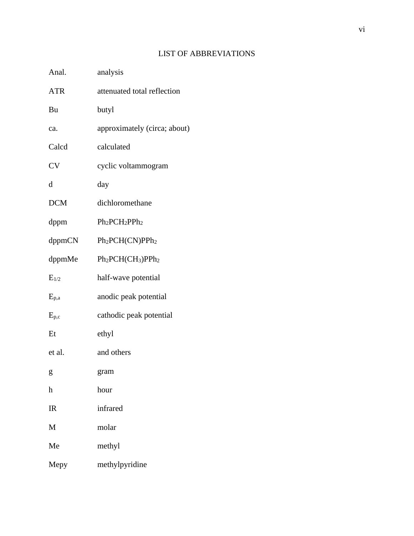# LIST OF ABBREVIATIONS

| Anal.                     | analysis                                |
|---------------------------|-----------------------------------------|
| <b>ATR</b>                | attenuated total reflection             |
| Bu                        | butyl                                   |
| ca.                       | approximately (circa; about)            |
| Calcd                     | calculated                              |
| <b>CV</b>                 | cyclic voltammogram                     |
| d                         | day                                     |
| <b>DCM</b>                | dichloromethane                         |
| dppm                      | $Ph2PCH2PPh2$                           |
| dppmCN                    | Ph <sub>2</sub> PCH(CN)PPh <sub>2</sub> |
| dppmMe                    | $Ph2PCH(CH3)PPh2$                       |
| $E_{1/2}$                 | half-wave potential                     |
| $E_{p,a}$                 | anodic peak potential                   |
| $E_{p,c}$                 | cathodic peak potential                 |
| Et                        | ethyl                                   |
| et al.                    | and others                              |
| g                         | gram                                    |
| $\boldsymbol{\mathrm{h}}$ | hour                                    |
| $_{\rm IR}$               | infrared                                |
| M                         | molar                                   |
| Me                        | methyl                                  |
| Mepy                      | methylpyridine                          |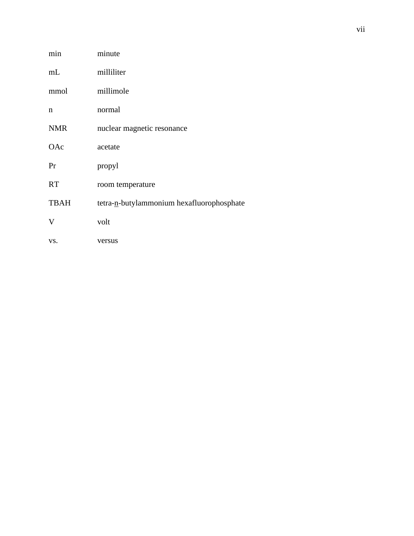| min         | minute                                    |
|-------------|-------------------------------------------|
| mL          | milliliter                                |
| mmol        | millimole                                 |
| $\mathbf n$ | normal                                    |
| <b>NMR</b>  | nuclear magnetic resonance                |
| OAc         | acetate                                   |
| Pr          | propyl                                    |
| <b>RT</b>   | room temperature                          |
| <b>TBAH</b> | tetra-n-butylammonium hexafluorophosphate |
| V           | volt                                      |
| VS.         | versus                                    |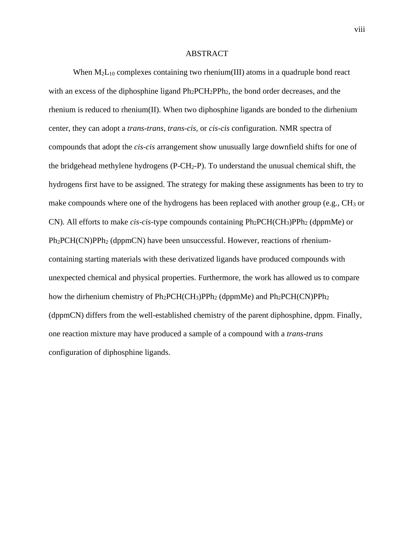#### ABSTRACT

When  $M_2L_{10}$  complexes containing two rhenium(III) atoms in a quadruple bond react with an excess of the diphosphine ligand  $Ph_2PCH_2PPh_2$ , the bond order decreases, and the rhenium is reduced to rhenium(II). When two diphosphine ligands are bonded to the dirhenium center, they can adopt a *trans-trans*, *trans-cis,* or *cis-cis* configuration. NMR spectra of compounds that adopt the *cis-cis* arrangement show unusually large downfield shifts for one of the bridgehead methylene hydrogens  $(P-CH_2-P)$ . To understand the unusual chemical shift, the hydrogens first have to be assigned. The strategy for making these assignments has been to try to make compounds where one of the hydrogens has been replaced with another group (e.g.,  $CH_3$  or CN). All efforts to make *cis-cis*-type compounds containing Ph2PCH(CH3)PPh<sup>2</sup> (dppmMe) or Ph2PCH(CN)PPh<sup>2</sup> (dppmCN) have been unsuccessful. However, reactions of rheniumcontaining starting materials with these derivatized ligands have produced compounds with unexpected chemical and physical properties. Furthermore, the work has allowed us to compare how the dirhenium chemistry of Ph<sub>2</sub>PCH(CH<sub>3</sub>)PPh<sub>2</sub> (dppmMe) and Ph<sub>2</sub>PCH(CN)PPh<sub>2</sub> (dppmCN) differs from the well-established chemistry of the parent diphosphine, dppm. Finally, one reaction mixture may have produced a sample of a compound with a *trans-trans* configuration of diphosphine ligands.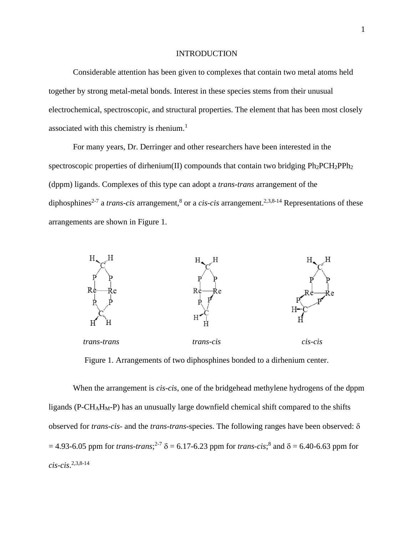#### INTRODUCTION

Considerable attention has been given to complexes that contain two metal atoms held together by strong metal-metal bonds. Interest in these species stems from their unusual electrochemical, spectroscopic, and structural properties. The element that has been most closely associated with this chemistry is rhenium. $<sup>1</sup>$ </sup>

For many years, Dr. Derringer and other researchers have been interested in the spectroscopic properties of dirhenium(II) compounds that contain two bridging  $Ph_2PCH_2PPh_2$ (dppm) ligands. Complexes of this type can adopt a *trans-trans* arrangement of the diphosphines<sup>2-7</sup> a *trans-cis* arrangement,<sup>8</sup> or a *cis-cis* arrangement.<sup>2,3,8-14</sup> Representations of these arrangements are shown in Figure 1.



Figure 1. Arrangements of two diphosphines bonded to a dirhenium center.

When the arrangement is *cis-cis*, one of the bridgehead methylene hydrogens of the dppm ligands ( $P-CH<sub>A</sub>H<sub>M</sub>-P$ ) has an unusually large downfield chemical shift compared to the shifts observed for *trans-cis*- and the *trans-trans*-species. The following ranges have been observed:  $=$  4.93-6.05 ppm for *trans-trans*;<sup>2-7</sup>  $\delta$  = 6.17-6.23 ppm for *trans-cis*;<sup>8</sup> and  $\delta$  = 6.40-6.63 ppm for *cis-cis*. 2,3,8-14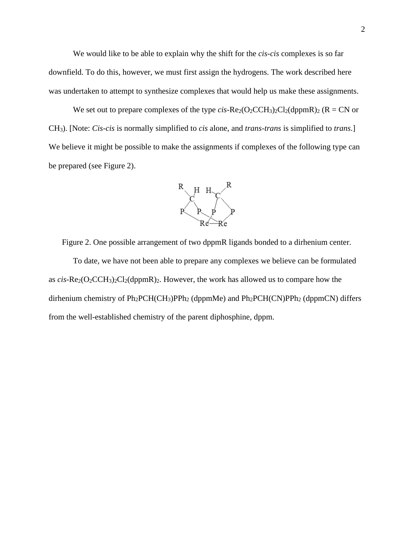We would like to be able to explain why the shift for the *cis-cis* complexes is so far downfield. To do this, however, we must first assign the hydrogens. The work described here was undertaken to attempt to synthesize complexes that would help us make these assignments.

We set out to prepare complexes of the type  $cis$ -Re<sub>2</sub>(O<sub>2</sub>CCH<sub>3</sub>)<sub>2</sub>Cl<sub>2</sub>(dppmR)<sub>2</sub> (R = CN or CH3). [Note: *Cis-cis* is normally simplified to *cis* alone, and *trans-trans* is simplified to *trans*.] We believe it might be possible to make the assignments if complexes of the following type can be prepared (see Figure 2).



Figure 2. One possible arrangement of two dppmR ligands bonded to a dirhenium center.

To date, we have not been able to prepare any complexes we believe can be formulated as  $cis$ -Re<sub>2</sub>(O<sub>2</sub>CCH<sub>3</sub>)<sub>2</sub>Cl<sub>2</sub>(dppmR)<sub>2</sub>. However, the work has allowed us to compare how the dirhenium chemistry of  $Ph_2PCH(CH_3)PPh_2$  (dppmMe) and  $Ph_2PCH(CN)PPh_2$  (dppmCN) differs from the well-established chemistry of the parent diphosphine, dppm.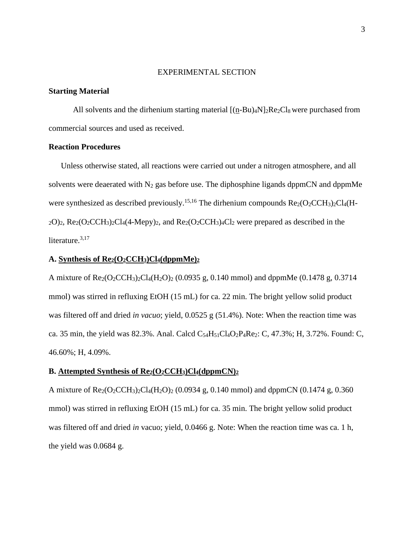# EXPERIMENTAL SECTION

# **Starting Material**

All solvents and the dirhenium starting material  $[(n-Bu)_{4}N]_{2}Re_{2}Cl_{8}$  were purchased from commercial sources and used as received.

### **Reaction Procedures**

Unless otherwise stated, all reactions were carried out under a nitrogen atmosphere, and all solvents were deaerated with  $N_2$  gas before use. The diphosphine ligands dppmCN and dppmMe were synthesized as described previously.<sup>15,16</sup> The dirhenium compounds  $Re_2(O_2CCH_3)_2Cl_4(H 2O_2$ ,  $Re_2(O_2CCH_3)_2Cl_4(4-Mepy)_2$ , and  $Re_2(O_2CCH_3)_4Cl_2$  were prepared as described in the literature.<sup>3,17</sup>

# **A. Synthesis of Re2(O2CCH3)Cl4(dppmMe)<sup>2</sup>**

A mixture of  $\text{Re}_2(\text{O}_2\text{CCH}_3)_2\text{Cl}_4(\text{H}_2\text{O})_2$  (0.0935 g, 0.140 mmol) and dppmMe (0.1478 g, 0.3714 mmol) was stirred in refluxing EtOH (15 mL) for ca. 22 min. The bright yellow solid product was filtered off and dried *in vacuo*; yield, 0.0525 g (51.4%). Note: When the reaction time was ca. 35 min, the yield was 82.3%. Anal. Calcd  $C_{54}H_{51}Cl_4O_2P_4Re_2$ : C, 47.3%; H, 3.72%. Found: C, 46.60%; H, 4.09%.

#### **B. Attempted Synthesis of Re2(O2CCH3)Cl4(dppmCN)<sup>2</sup>**

A mixture of  $Re_2(O_2CCH_3)_2Cl_4(H_2O)_2$  (0.0934 g, 0.140 mmol) and dppmCN (0.1474 g, 0.360 mmol) was stirred in refluxing EtOH (15 mL) for ca. 35 min. The bright yellow solid product was filtered off and dried *in* vacuo; yield, 0.0466 g. Note: When the reaction time was ca. 1 h, the yield was 0.0684 g.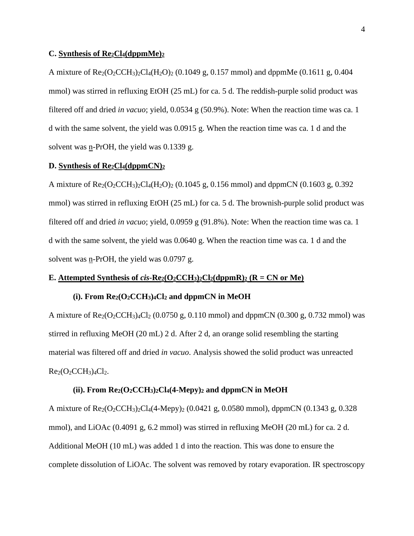#### **C. Synthesis of Re2Cl4(dppmMe)<sup>2</sup>**

A mixture of  $\text{Re}_2(\text{O}_2\text{CCH}_3)_2\text{Cl}_4(\text{H}_2\text{O})_2$  (0.1049 g, 0.157 mmol) and dppmMe (0.1611 g, 0.404 mmol) was stirred in refluxing EtOH (25 mL) for ca. 5 d. The reddish-purple solid product was filtered off and dried *in vacuo*; yield, 0.0534 g (50.9%). Note: When the reaction time was ca. 1 d with the same solvent, the yield was 0.0915 g. When the reaction time was ca. 1 d and the solvent was  $n$ -PrOH, the yield was 0.1339 g.

### **D. Synthesis of Re2Cl4(dppmCN)<sup>2</sup>**

A mixture of  $\text{Re}_2(\text{O}_2\text{CCH}_3)_2\text{Cl}_4(\text{H}_2\text{O})_2$  (0.1045 g, 0.156 mmol) and dppmCN (0.1603 g, 0.392 mmol) was stirred in refluxing EtOH (25 mL) for ca. 5 d. The brownish-purple solid product was filtered off and dried *in vacuo*; yield, 0.0959 g (91.8%). Note: When the reaction time was ca. 1 d with the same solvent, the yield was 0.0640 g. When the reaction time was ca. 1 d and the solvent was  $n$ -PrOH, the yield was 0.0797 g.

# **E.** Attempted Synthesis of *cis-***Re**<sub>2</sub>( $O_2$ CCH<sub>3</sub>)<sub>2</sub>Cl<sub>2</sub>(dppmR)<sub>2</sub> ( $R = CN$  or Me)

#### **(i). From Re2(O2CCH3)4Cl<sup>2</sup> and dppmCN in MeOH**

A mixture of  $\text{Re}_2(\text{O}_2\text{CCH}_3)_{4}\text{Cl}_2$  (0.0750 g, 0.110 mmol) and dppmCN (0.300 g, 0.732 mmol) was stirred in refluxing MeOH (20 mL) 2 d. After 2 d, an orange solid resembling the starting material was filtered off and dried *in vacuo*. Analysis showed the solid product was unreacted  $Re<sub>2</sub>(O<sub>2</sub> CCH<sub>3</sub>)<sub>4</sub>Cl<sub>2</sub>.$ 

#### $(iii)$ . From  $Re_2(O_2CCH_3)_2Cl_4(4-Mepy)_2$  and dppmCN in MeOH

A mixture of  $Re_2(O_2CCH_3)_2Cl_4(4-Mepy)_2 (0.0421 \text{ g}, 0.0580 \text{ mmol})$ , dppmCN  $(0.1343 \text{ g}, 0.328$ mmol), and LiOAc (0.4091 g, 6.2 mmol) was stirred in refluxing MeOH (20 mL) for ca. 2 d. Additional MeOH (10 mL) was added 1 d into the reaction. This was done to ensure the complete dissolution of LiOAc. The solvent was removed by rotary evaporation. IR spectroscopy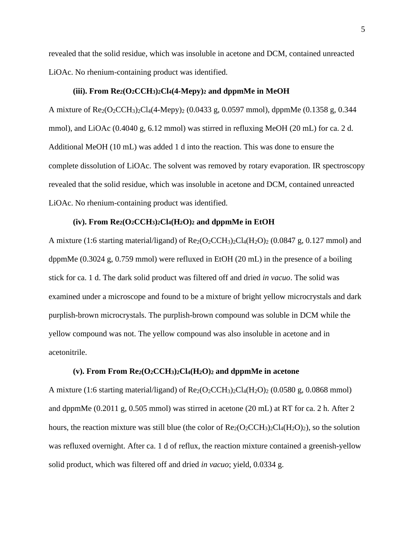revealed that the solid residue, which was insoluble in acetone and DCM, contained unreacted LiOAc. No rhenium-containing product was identified.

#### **(iii). From Re2(O2CCH3)2Cl4(4-Mepy)<sup>2</sup> and dppmMe in MeOH**

A mixture of Re2(O2CCH3)2Cl4(4-Mepy)<sup>2</sup> (0.0433 g, 0.0597 mmol), dppmMe (0.1358 g, 0.344 mmol), and LiOAc (0.4040 g, 6.12 mmol) was stirred in refluxing MeOH (20 mL) for ca. 2 d. Additional MeOH (10 mL) was added 1 d into the reaction. This was done to ensure the complete dissolution of LiOAc. The solvent was removed by rotary evaporation. IR spectroscopy revealed that the solid residue, which was insoluble in acetone and DCM, contained unreacted LiOAc. No rhenium-containing product was identified.

#### $(iv)$ . From  $Re_2(O_2CCH_3)_2Cl_4(H_2O)_2$  and dppmMe in EtOH

A mixture (1:6 starting material/ligand) of  $\text{Re}_2(\text{O}_2\text{CCH}_3)_{2}\text{Cl}_4(\text{H}_2\text{O})_{2}$  (0.0847 g, 0.127 mmol) and dppmMe (0.3024 g, 0.759 mmol) were refluxed in EtOH (20 mL) in the presence of a boiling stick for ca. 1 d. The dark solid product was filtered off and dried *in vacuo*. The solid was examined under a microscope and found to be a mixture of bright yellow microcrystals and dark purplish-brown microcrystals. The purplish-brown compound was soluble in DCM while the yellow compound was not. The yellow compound was also insoluble in acetone and in acetonitrile.

### **(v). From From Re2(O2CCH3)2Cl4(H2O)<sup>2</sup> and dppmMe in acetone**

A mixture (1:6 starting material/ligand) of  $Re_2(O_2CCH_3)_2Cl_4(H_2O)_2$  (0.0580 g, 0.0868 mmol) and dppmMe (0.2011 g, 0.505 mmol) was stirred in acetone (20 mL) at RT for ca. 2 h. After 2 hours, the reaction mixture was still blue (the color of  $\text{Re}_2(\text{O}_2\text{CCH}_3)_2\text{Cl}_4(\text{H}_2\text{O})_2)$ , so the solution was refluxed overnight. After ca. 1 d of reflux, the reaction mixture contained a greenish-yellow solid product, which was filtered off and dried *in vacuo*; yield, 0.0334 g.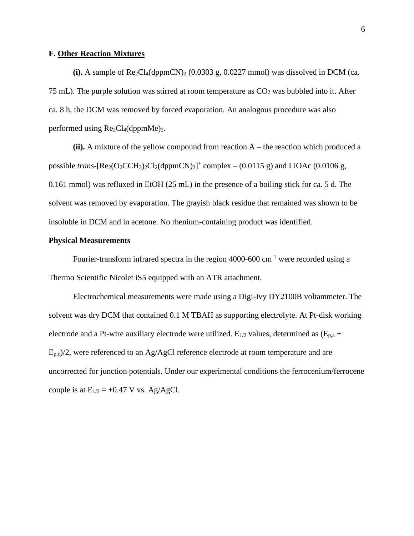### **F. Other Reaction Mixtures**

(i). A sample of  $\text{Re}_2\text{Cl}_4(\text{dppmCN})_2$  (0.0303 g, 0.0227 mmol) was dissolved in DCM (ca. 75 mL). The purple solution was stirred at room temperature as  $CO<sub>2</sub>$  was bubbled into it. After ca. 8 h, the DCM was removed by forced evaporation. An analogous procedure was also performed using  $Re<sub>2</sub>Cl<sub>4</sub>(dppmMe)<sub>2</sub>$ .

 $(i)$ . A mixture of the yellow compound from reaction  $A$  – the reaction which produced a possible *trans*-[ $\text{Re}_2(\text{O}_2\text{CCH}_3)_2\text{Cl}_2(\text{dppmCN})_2$ ]<sup>+</sup> complex – (0.0115 g) and LiOAc (0.0106 g, 0.161 mmol) was refluxed in EtOH (25 mL) in the presence of a boiling stick for ca. 5 d. The solvent was removed by evaporation. The grayish black residue that remained was shown to be insoluble in DCM and in acetone. No rhenium-containing product was identified.

### **Physical Measurements**

Fourier-transform infrared spectra in the region  $4000-600$  cm<sup>-1</sup> were recorded using a Thermo Scientific Nicolet iS5 equipped with an ATR attachment.

Electrochemical measurements were made using a Digi-Ivy DY2100B voltammeter. The solvent was dry DCM that contained 0.1 M TBAH as supporting electrolyte. At Pt-disk working electrode and a Pt-wire auxiliary electrode were utilized.  $E_{1/2}$  values, determined as  $(E_{p,a} +$  $E_{p,c}/2$ , were referenced to an Ag/AgCl reference electrode at room temperature and are uncorrected for junction potentials. Under our experimental conditions the ferrocenium/ferrocene couple is at  $E_{1/2} = +0.47$  V vs. Ag/AgCl.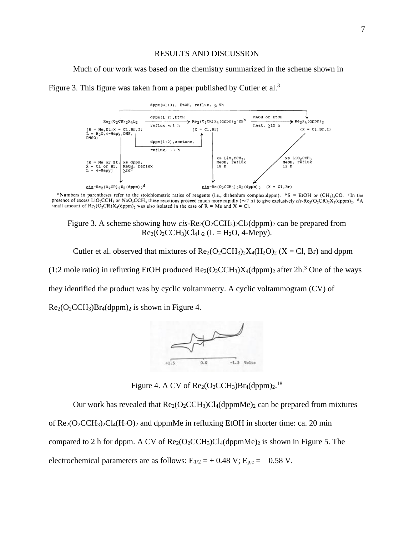### RESULTS AND DISCUSSION

Much of our work was based on the chemistry summarized in the scheme shown in





<sup>a</sup>Numbers in parentheses refer to the stoichiometric ratios of reagents (i.e., dirhenium complex:dppm).  $\circ S = E1OH$  or (CH<sub>3</sub>)<sub>2</sub>CO. <sup>c</sup>In the presence of excess LiO<sub>2</sub>CCH<sub>3</sub> or NaO<sub>2</sub>CCH<sub>3</sub> these reactions proceed much more rapidly ( $\sim$ 7 h) to give exclusively cis-Re<sub>2</sub>(O<sub>2</sub>CR)<sub>2</sub>X<sub>2</sub>(dppm)<sub>2</sub>. <sup>*4*</sup>A small amount of Re<sub>2</sub>(O<sub>2</sub>CR)X<sub>4</sub>(dppm)<sub>2</sub>, <sup>*4*</sup>A

Figure 3. A scheme showing how  $cis$ -Re<sub>2</sub>(O<sub>2</sub>CCH<sub>3</sub>)<sub>2</sub>Cl<sub>2</sub>(dppm)<sub>2</sub> can be prepared from  $Re_2(O_2CCH_3)Cl_4L_2$  (L = H<sub>2</sub>O, 4-Mepy).

Cutler et al. observed that mixtures of  $\text{Re}_2(\text{O}_2\text{CCH}_3)_2X_4(\text{H}_2\text{O})_2$  (X = Cl, Br) and dppm (1:2 mole ratio) in refluxing EtOH produced  $Re_2(O_2CCH_3)X_4(dppm)_2$  after  $2h^3$  One of the ways they identified the product was by cyclic voltammetry. A cyclic voltammogram (CV) of  $Re<sub>2</sub>(O<sub>2</sub> CCH<sub>3</sub>)Br<sub>4</sub>(dppm)<sub>2</sub>$  is shown in Figure 4.



Figure 4. A CV of  $\text{Re}_2(\text{O}_2\text{CCH}_3)\text{Br}_4(\text{dppm})_2$ .<sup>18</sup>

Our work has revealed that  $\text{Re}_2(\text{O}_2\text{CCH}_3)Cl_4(\text{dppmMe})_2$  can be prepared from mixtures of  $\text{Re}_2(\text{O}_2\text{CCH}_3)_{2}\text{Cl}_4(\text{H}_2\text{O})_{2}$  and dppmMe in refluxing EtOH in shorter time: ca. 20 min compared to 2 h for dppm. A CV of  $\text{Re}_2(\text{O}_2\text{CCH}_3)Cl_4(\text{dppmMe})_2$  is shown in Figure 5. The electrochemical parameters are as follows:  $E_{1/2} = +0.48 \text{ V}; E_{p,c} = -0.58 \text{ V}.$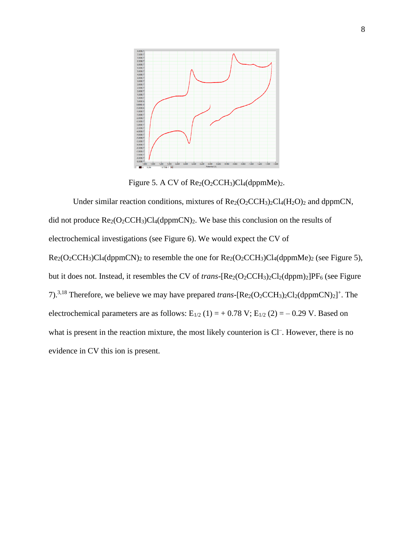

Figure 5. A CV of  $\text{Re}_2(\text{O}_2$ CCH<sub>3</sub>)Cl<sub>4</sub>(dppmMe)<sub>2</sub>.

Under similar reaction conditions, mixtures of  $\text{Re}_2(\text{O}_2\text{CCH}_3)_2\text{Cl}_4(\text{H}_2\text{O})_2$  and dppmCN, did not produce  $\text{Re}_2(\text{O}_2\text{CCH}_3)Cl_4(\text{dppmCN})_2$ . We base this conclusion on the results of electrochemical investigations (see Figure 6). We would expect the CV of  $Re<sub>2</sub>(O<sub>2</sub> CCH<sub>3</sub>)Cl<sub>4</sub>(dppmCN)<sub>2</sub>$  to resemble the one for  $Re<sub>2</sub>(O<sub>2</sub> CCH<sub>3</sub>)Cl<sub>4</sub>(dppmMe)<sub>2</sub>$  (see Figure 5), but it does not. Instead, it resembles the CV of *trans*-[Re<sub>2</sub>(O<sub>2</sub>CCH<sub>3</sub>)<sub>2</sub>Cl<sub>2</sub>(dppm)<sub>2</sub>]PF<sub>6</sub> (see Figure 7).<sup>3,18</sup> Therefore, we believe we may have prepared *trans*-[ $\text{Re}_2(\text{O}_2\text{CCH}_3)_2\text{Cl}_2(\text{dppmCN})_2$ ]<sup>+</sup>. The electrochemical parameters are as follows:  $E_{1/2}$  (1) = + 0.78 V;  $E_{1/2}$  (2) = - 0.29 V. Based on what is present in the reaction mixture, the most likely counterion is Cl<sup>-</sup>. However, there is no evidence in CV this ion is present.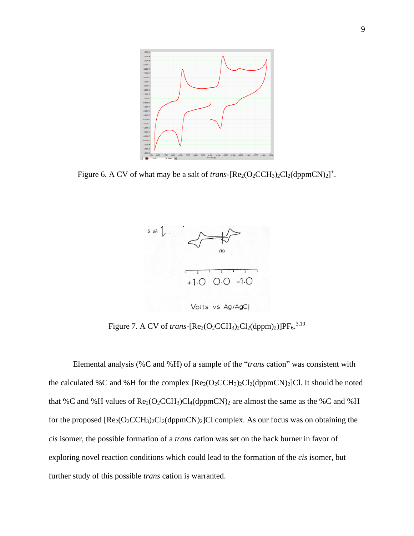

Figure 6. A CV of what may be a salt of *trans*-[ $\text{Re}_2(\text{O}_2\text{CCH}_3)_2\text{Cl}_2(\text{dppmCN})_2$ ]<sup>+</sup>.



Figure 7. A CV of *trans*-[ $\text{Re}_2(\text{O}_2\text{CCH}_3)_2\text{Cl}_2(\text{dppm})_2)$ ]PF<sub>6</sub>.<sup>3,19</sup>

Elemental analysis (%C and %H) of a sample of the "*trans* cation" was consistent with the calculated %C and %H for the complex  $[Re_2(O_2CCH_3)_2Cl_2(dppmCN)_2]Cl$ . It should be noted that %C and %H values of  $\text{Re}_2(\text{O}_2\text{CCH}_3)Cl_4(\text{dppmCN})_2$  are almost the same as the %C and %H for the proposed  $[Re_2(O_2CCH_3)_2Cl_2(dppmCN)_2]Cl$  complex. As our focus was on obtaining the *cis* isomer, the possible formation of a *trans* cation was set on the back burner in favor of exploring novel reaction conditions which could lead to the formation of the *cis* isomer, but further study of this possible *trans* cation is warranted.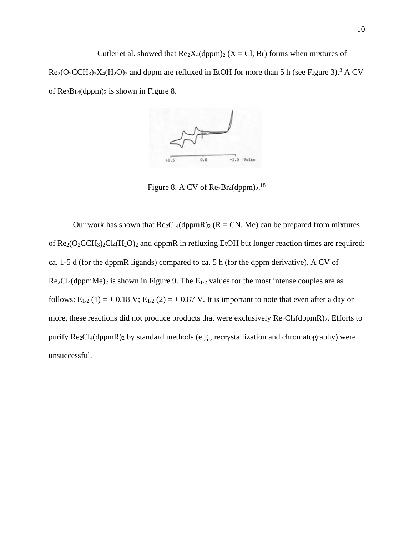Cutler et al. showed that  $\text{Re}_2 X_4(\text{dppm})_2$  (X = Cl, Br) forms when mixtures of  $Re<sub>2</sub>(O<sub>2</sub> CCH<sub>3</sub>)<sub>2</sub>X<sub>4</sub>(H<sub>2</sub>O)<sub>2</sub>$  and dppm are refluxed in EtOH for more than 5 h (see Figure 3).<sup>3</sup> A CV of  $\text{Re}_2\text{Br}_4(\text{dppm})_2$  is shown in Figure 8.



Figure 8. A CV of  $\text{Re}_2\text{Br}_4(\text{dppm})_2$ .<sup>18</sup>

Our work has shown that  $Re_2Cl_4(dppmR)_2$  ( $R = CN$ , Me) can be prepared from mixtures of  $\text{Re}_2(\text{O}_2\text{CCH}_3)_2\text{Cl}_4(\text{H}_2\text{O})_2$  and dppmR in refluxing EtOH but longer reaction times are required: ca. 1-5 d (for the dppmR ligands) compared to ca. 5 h (for the dppm derivative). A CV of  $Re<sub>2</sub>Cl<sub>4</sub>(dppmMe)<sub>2</sub>$  is shown in Figure 9. The  $E<sub>1/2</sub>$  values for the most intense couples are as follows:  $E_{1/2}$  (1) = + 0.18 V;  $E_{1/2}$  (2) = + 0.87 V. It is important to note that even after a day or more, these reactions did not produce products that were exclusively  $Re<sub>2</sub>Cl<sub>4</sub>(dppmR)<sub>2</sub>$ . Efforts to purify Re2Cl4(dppmR)<sup>2</sup> by standard methods (e.g., recrystallization and chromatography) were unsuccessful.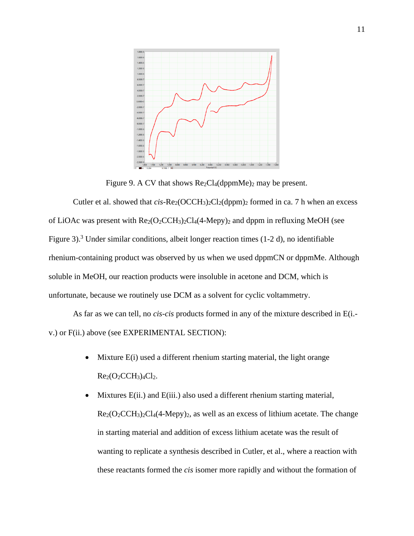

Figure 9. A CV that shows  $Re<sub>2</sub>Cl<sub>4</sub>(dppmMe)<sub>2</sub>$  may be present.

Cutler et al. showed that  $cis$ -Re<sub>2</sub>(OCCH<sub>3</sub>)<sub>2</sub>Cl<sub>2</sub>(dppm)<sub>2</sub> formed in ca. 7 h when an excess of LiOAc was present with  $\text{Re}_2(\text{O}_2\text{CCH}_3)_2\text{Cl}_4(4\text{-Mepy})_2$  and dppm in refluxing MeOH (see Figure 3).<sup>3</sup> Under similar conditions, albeit longer reaction times (1-2 d), no identifiable rhenium-containing product was observed by us when we used dppmCN or dppmMe. Although soluble in MeOH, our reaction products were insoluble in acetone and DCM, which is unfortunate, because we routinely use DCM as a solvent for cyclic voltammetry.

As far as we can tell, no *cis-cis* products formed in any of the mixture described in E(i. v.) or F(ii.) above (see EXPERIMENTAL SECTION):

- Mixture E(i) used a different rhenium starting material, the light orange  $Re<sub>2</sub>(O<sub>2</sub> CCH<sub>3</sub>)<sub>4</sub>Cl<sub>2</sub>.$
- Mixtures E(ii.) and E(iii.) also used a different rhenium starting material,  $\text{Re}_2(\text{O}_2\text{CCH}_3)_{2}\text{Cl}_4(4\text{-Mey})_{2}$ , as well as an excess of lithium acetate. The change in starting material and addition of excess lithium acetate was the result of wanting to replicate a synthesis described in Cutler, et al., where a reaction with these reactants formed the *cis* isomer more rapidly and without the formation of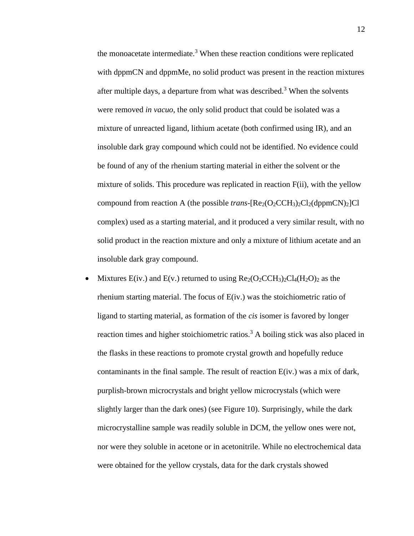the monoacetate intermediate.<sup>3</sup> When these reaction conditions were replicated with dppmCN and dppmMe, no solid product was present in the reaction mixtures after multiple days, a departure from what was described.<sup>3</sup> When the solvents were removed *in vacuo*, the only solid product that could be isolated was a mixture of unreacted ligand, lithium acetate (both confirmed using IR), and an insoluble dark gray compound which could not be identified. No evidence could be found of any of the rhenium starting material in either the solvent or the mixture of solids. This procedure was replicated in reaction F(ii), with the yellow compound from reaction A (the possible *trans*- $[Re_2(O_2CCH_3)_2Cl_2(dppmCN)_2]Cl$ complex) used as a starting material, and it produced a very similar result, with no solid product in the reaction mixture and only a mixture of lithium acetate and an insoluble dark gray compound.

• Mixtures  $E(iv.)$  and  $E(v.)$  returned to using  $Re<sub>2</sub>(O<sub>2</sub> CCH<sub>3</sub>)<sub>2</sub>Cl<sub>4</sub>(H<sub>2</sub>O)<sub>2</sub>$  as the rhenium starting material. The focus of E(iv.) was the stoichiometric ratio of ligand to starting material, as formation of the *cis* isomer is favored by longer reaction times and higher stoichiometric ratios.<sup>3</sup> A boiling stick was also placed in the flasks in these reactions to promote crystal growth and hopefully reduce contaminants in the final sample. The result of reaction E(iv.) was a mix of dark, purplish-brown microcrystals and bright yellow microcrystals (which were slightly larger than the dark ones) (see Figure 10). Surprisingly, while the dark microcrystalline sample was readily soluble in DCM, the yellow ones were not, nor were they soluble in acetone or in acetonitrile. While no electrochemical data were obtained for the yellow crystals, data for the dark crystals showed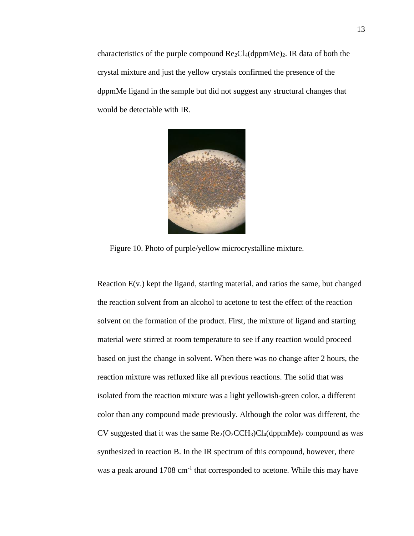characteristics of the purple compound  $Re_2Cl_4(dppmMe)_2$ . IR data of both the crystal mixture and just the yellow crystals confirmed the presence of the dppmMe ligand in the sample but did not suggest any structural changes that would be detectable with IR.



Figure 10. Photo of purple/yellow microcrystalline mixture.

Reaction E(v.) kept the ligand, starting material, and ratios the same, but changed the reaction solvent from an alcohol to acetone to test the effect of the reaction solvent on the formation of the product. First, the mixture of ligand and starting material were stirred at room temperature to see if any reaction would proceed based on just the change in solvent. When there was no change after 2 hours, the reaction mixture was refluxed like all previous reactions. The solid that was isolated from the reaction mixture was a light yellowish-green color, a different color than any compound made previously. Although the color was different, the CV suggested that it was the same  $Re_2(O_2CCH_3)Cl_4(dppmMe)_2$  compound as was synthesized in reaction B. In the IR spectrum of this compound, however, there was a peak around 1708 cm<sup>-1</sup> that corresponded to acetone. While this may have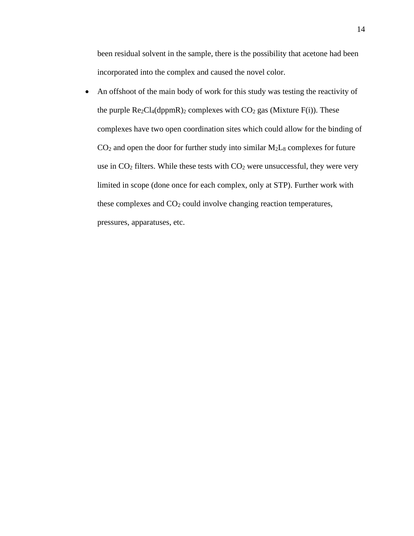been residual solvent in the sample, there is the possibility that acetone had been incorporated into the complex and caused the novel color.

• An offshoot of the main body of work for this study was testing the reactivity of the purple  $\text{Re}_2\text{Cl}_4(\text{dppmR})_2$  complexes with  $\text{CO}_2$  gas (Mixture F(i)). These complexes have two open coordination sites which could allow for the binding of  $CO<sub>2</sub>$  and open the door for further study into similar  $M<sub>2</sub>L<sub>8</sub>$  complexes for future use in  $CO<sub>2</sub>$  filters. While these tests with  $CO<sub>2</sub>$  were unsuccessful, they were very limited in scope (done once for each complex, only at STP). Further work with these complexes and CO<sup>2</sup> could involve changing reaction temperatures, pressures, apparatuses, etc.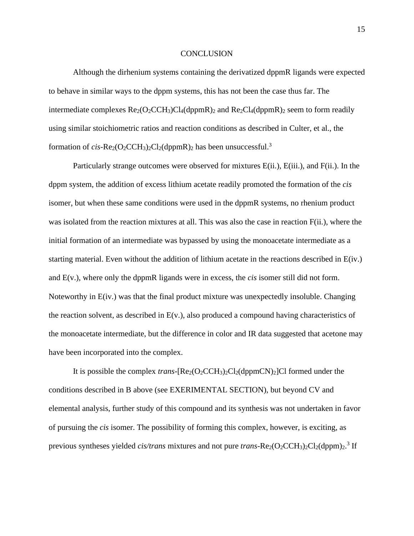#### **CONCLUSION**

Although the dirhenium systems containing the derivatized dppmR ligands were expected to behave in similar ways to the dppm systems, this has not been the case thus far. The intermediate complexes  $\text{Re}_2(\text{O}_2\text{CCH}_3)Cl_4(\text{dppmR})_2$  and  $\text{Re}_2\text{Cl}_4(\text{dppmR})_2$  seem to form readily using similar stoichiometric ratios and reaction conditions as described in Culter, et al., the formation of  $cis$ -Re<sub>2</sub>(O<sub>2</sub>CCH<sub>3</sub>)<sub>2</sub>Cl<sub>2</sub>(dppmR)<sub>2</sub> has been unsuccessful.<sup>3</sup>

Particularly strange outcomes were observed for mixtures E(ii.), E(iii.), and F(ii.). In the dppm system, the addition of excess lithium acetate readily promoted the formation of the *cis* isomer, but when these same conditions were used in the dppmR systems, no rhenium product was isolated from the reaction mixtures at all. This was also the case in reaction F(ii.), where the initial formation of an intermediate was bypassed by using the monoacetate intermediate as a starting material. Even without the addition of lithium acetate in the reactions described in E(iv.) and E(v.), where only the dppmR ligands were in excess, the *cis* isomer still did not form. Noteworthy in E(iv.) was that the final product mixture was unexpectedly insoluble. Changing the reaction solvent, as described in  $E(v)$ , also produced a compound having characteristics of the monoacetate intermediate, but the difference in color and IR data suggested that acetone may have been incorporated into the complex.

It is possible the complex *trans*-[Re<sub>2</sub>(O<sub>2</sub>CCH<sub>3</sub>)<sub>2</sub>Cl<sub>2</sub>(dppmCN)<sub>2</sub>]Cl formed under the conditions described in B above (see EXERIMENTAL SECTION), but beyond CV and elemental analysis, further study of this compound and its synthesis was not undertaken in favor of pursuing the *cis* isomer. The possibility of forming this complex, however, is exciting, as previous syntheses yielded *cis/trans* mixtures and not pure *trans*-Re<sub>2</sub>(O<sub>2</sub>CCH<sub>3</sub>)<sub>2</sub>Cl<sub>2</sub>(dppm)<sub>2</sub>.<sup>3</sup> If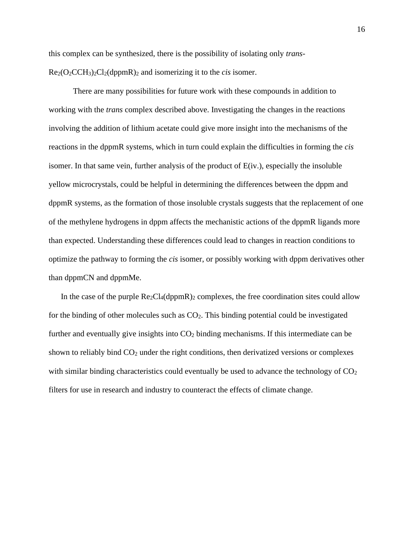this complex can be synthesized, there is the possibility of isolating only *trans*-Re2(O2CCH3)2Cl2(dppmR)<sup>2</sup> and isomerizing it to the *cis* isomer.

There are many possibilities for future work with these compounds in addition to working with the *trans* complex described above. Investigating the changes in the reactions involving the addition of lithium acetate could give more insight into the mechanisms of the reactions in the dppmR systems, which in turn could explain the difficulties in forming the *cis* isomer. In that same vein, further analysis of the product of E(iv.), especially the insoluble yellow microcrystals, could be helpful in determining the differences between the dppm and dppmR systems, as the formation of those insoluble crystals suggests that the replacement of one of the methylene hydrogens in dppm affects the mechanistic actions of the dppmR ligands more than expected. Understanding these differences could lead to changes in reaction conditions to optimize the pathway to forming the *cis* isomer, or possibly working with dppm derivatives other than dppmCN and dppmMe.

In the case of the purple  $Re_2Cl_4(dppmR)_2$  complexes, the free coordination sites could allow for the binding of other molecules such as  $CO<sub>2</sub>$ . This binding potential could be investigated further and eventually give insights into  $CO<sub>2</sub>$  binding mechanisms. If this intermediate can be shown to reliably bind  $CO<sub>2</sub>$  under the right conditions, then derivatized versions or complexes with similar binding characteristics could eventually be used to advance the technology of  $CO<sub>2</sub>$ filters for use in research and industry to counteract the effects of climate change.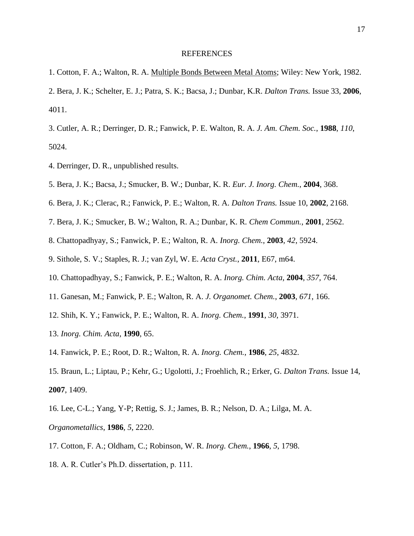#### REFERENCES

- 1. Cotton, F. A.; Walton, R. A. Multiple Bonds Between Metal Atoms; Wiley: New York, 1982.
- 2. Bera, J. K.; Schelter, E. J.; Patra, S. K.; Bacsa, J.; Dunbar, K.R. *Dalton Trans.* Issue 33, **2006**, 4011.
- 3. Cutler, A. R.; Derringer, D. R.; Fanwick, P. E. Walton, R. A. *J. Am. Chem. Soc.*, **1988**, *110*, 5024.
- 4. Derringer, D. R., unpublished results.
- 5. Bera, J. K.; Bacsa, J.; Smucker, B. W.; Dunbar, K. R. *Eur. J. Inorg. Chem.*, **2004**, 368.
- 6. Bera, J. K.; Clerac, R.; Fanwick, P. E.; Walton, R. A. *Dalton Trans.* Issue 10, **2002**, 2168.
- 7. Bera, J. K.; Smucker, B. W.; Walton, R. A.; Dunbar, K. R. *Chem Commun.*, **2001**, 2562.
- 8. Chattopadhyay, S.; Fanwick, P. E.; Walton, R. A. *Inorg. Chem.*, **2003**, *42*, 5924.
- 9. Sithole, S. V.; Staples, R. J.; van Zyl, W. E. *Acta Cryst.*, **2011**, E67, m64.
- 10. Chattopadhyay, S.; Fanwick, P. E.; Walton, R. A. *Inorg. Chim. Acta*, **2004**, *357*, 764.
- 11. Ganesan, M.; Fanwick, P. E.; Walton, R. A. *J. Organomet. Chem.*, **2003**, *671*, 166.
- 12. Shih, K. Y.; Fanwick, P. E.; Walton, R. A. *Inorg. Chem.*, **1991**, *30*, 3971.
- 13. *Inorg. Chim. Acta*, **1990**, 65.
- 14. Fanwick, P. E.; Root, D. R.; Walton, R. A. *Inorg. Chem.*, **1986**, *25*, 4832.
- 15. Braun, L.; Liptau, P.; Kehr, G.; Ugolotti, J.; Froehlich, R.; Erker, G. *Dalton Trans.* Issue 14, **2007**, 1409.
- 16. Lee, C-L.; Yang, Y-P; Rettig, S. J.; James, B. R.; Nelson, D. A.; Lilga, M. A. *Organometallics*, **1986**, *5*, 2220.
- 17. Cotton, F. A.; Oldham, C.; Robinson, W. R. *Inorg. Chem.*, **1966**, *5*, 1798.
- 18. A. R. Cutler's Ph.D. dissertation, p. 111.